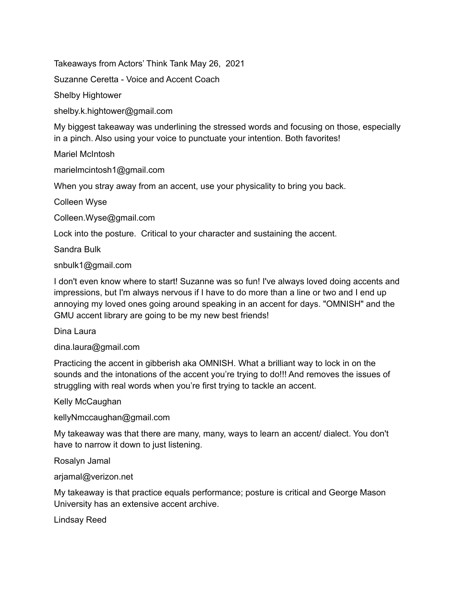Takeaways from Actors' Think Tank May 26, 2021

Suzanne Ceretta - Voice and Accent Coach

Shelby Hightower

shelby.k.hightower@gmail.com

My biggest takeaway was underlining the stressed words and focusing on those, especially in a pinch. Also using your voice to punctuate your intention. Both favorites!

Mariel McIntosh

marielmcintosh1@gmail.com

When you stray away from an accent, use your physicality to bring you back.

Colleen Wyse

Colleen.Wyse@gmail.com

Lock into the posture. Critical to your character and sustaining the accent.

Sandra Bulk

snbulk1@gmail.com

I don't even know where to start! Suzanne was so fun! I've always loved doing accents and impressions, but I'm always nervous if I have to do more than a line or two and I end up annoying my loved ones going around speaking in an accent for days. "OMNISH" and the GMU accent library are going to be my new best friends!

### Dina Laura

dina.laura@gmail.com

Practicing the accent in gibberish aka OMNISH. What a brilliant way to lock in on the sounds and the intonations of the accent you're trying to do!!! And removes the issues of struggling with real words when you're first trying to tackle an accent.

### Kelly McCaughan

kellyNmccaughan@gmail.com

My takeaway was that there are many, many, ways to learn an accent/ dialect. You don't have to narrow it down to just listening.

Rosalyn Jamal

arjamal@verizon.net

My takeaway is that practice equals performance; posture is critical and George Mason University has an extensive accent archive.

Lindsay Reed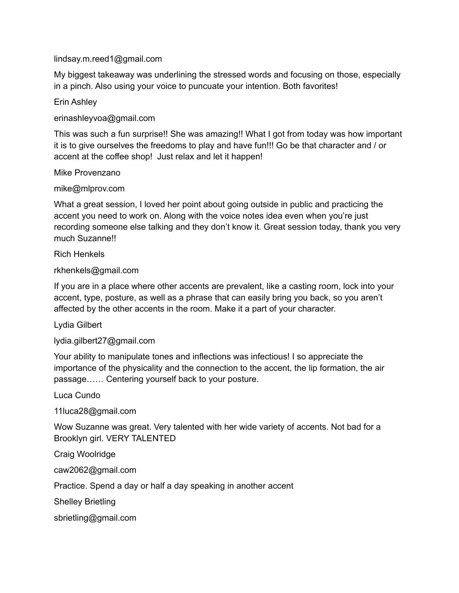## lindsay.m.reed1@gmail.com

My biggest takeaway was underlining the stressed words and focusing on those, especially in a pinch. Also using your voice to puncuate your intention. Both favorites!

### Erin Ashley

erinashleyvoa@gmail.com

This was such a fun surprise!! She was amazing!! What I got from today was how important it is to give ourselves the freedoms to play and have fun!!! Go be that character and / or accent at the coffee shop! Just relax and let it happen!

### Mike Provenzano

mike@mlprov.com

What a great session, I loved her point about going outside in public and practicing the accent you need to work on. Along with the voice notes idea even when you're just recording someone else talking and they don't know it. Great session today, thank you very much Suzanne!!

Rich Henkels

### rkhenkels@gmail.com

If you are in a place where other accents are prevalent, like a casting room, lock into your accent, type, posture, as well as a phrase that can easily bring you back, so you aren't affected by the other accents in the room. Make it a part of your character.

Lydia Gilbert

lydia.gilbert27@gmail.com

Your ability to manipulate tones and inflections was infectious! I so appreciate the importance of the physicality and the connection to the accent, the lip formation, the air passage…… Centering yourself back to your posture.

# Luca Cundo

11luca28@gmail.com

Wow Suzanne was great. Very talented with her wide variety of accents. Not bad for a Brooklyn girl. VERY TALENTED

Craig Woolridge

caw2062@gmail.com

Practice. Spend a day or half a day speaking in another accent

Shelley Brietling

sbrietling@gmail.com